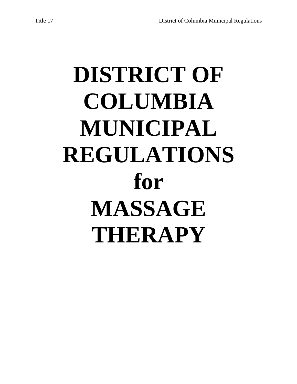# **DISTRICT OF COLUMBIA MUNICIPAL REGULATIONS for MASSAGE THERAPY**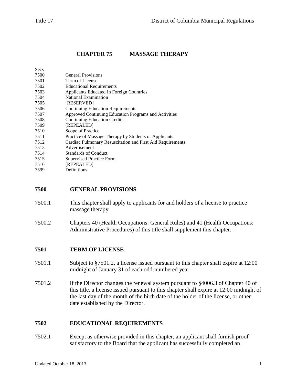## **CHAPTER 75 MASSAGE THERAPY**

| Secs |                                                            |
|------|------------------------------------------------------------|
| 7500 | <b>General Provisions</b>                                  |
| 7501 | Term of License                                            |
| 7502 | <b>Educational Requirements</b>                            |
| 7503 | <b>Applicants Educated In Foreign Countries</b>            |
| 7504 | National Examination                                       |
| 7505 | <b>[RESERVED]</b>                                          |
| 7506 | <b>Continuing Education Requirements</b>                   |
| 7507 | Approved Continuing Education Programs and Activities      |
| 7508 | <b>Continuing Education Credits</b>                        |
| 7509 | [REPEALED]                                                 |
| 7510 | Scope of Practice                                          |
| 7511 | Practice of Massage Therapy by Students or Applicants      |
| 7512 | Cardiac Pulmonary Resuscitation and First Aid Requirements |
| 7513 | Advertisement                                              |
| 7514 | <b>Standards of Conduct</b>                                |
| 7515 | <b>Supervised Practice Form</b>                            |
| 7516 | [REPEALED]                                                 |
| 7599 | Definitions                                                |
|      |                                                            |

#### **7500 GENERAL PROVISIONS**

- 7500.1 This chapter shall apply to applicants for and holders of a license to practice massage therapy.
- 7500.2 Chapters 40 (Health Occupations: General Rules) and 41 (Health Occupations: Administrative Procedures) of this title shall supplement this chapter.

#### **7501 TERM OF LICENSE**

- 7501.1 Subject to §7501.2, a license issued pursuant to this chapter shall expire at 12:00 midnight of January 31 of each odd-numbered year.
- 7501.2 If the Director changes the renewal system pursuant to §4006.3 of Chapter 40 of this title, a license issued pursuant to this chapter shall expire at 12:00 midnight of the last day of the month of the birth date of the holder of the license, or other date established by the Director.

#### **7502 EDUCATIONAL REQUIREMENTS**

7502.1 Except as otherwise provided in this chapter, an applicant shall furnish proof satisfactory to the Board that the applicant has successfully completed an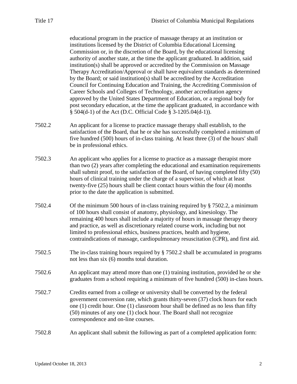educational program in the practice of massage therapy at an institution or institutions licensed by the District of Columbia Educational Licensing Commission or, in the discretion of the Board, by the educational licensing authority of another state, at the time the applicant graduated. In addition, said institution(s) shall be approved or accredited by the Commission on Massage Therapy Accreditation/Approval or shall have equivalent standards as determined by the Board; or said institution(s) shall be accredited by the Accreditation Council for Continuing Education and Training, the Accrediting Commission of Career Schools and Colleges of Technology, another accreditation agency approved by the United States Department of Education, or a regional body for post secondary education, at the time the applicant graduated, in accordance with § 504(d-1) of the Act (D.C. Official Code § 3-1205.04(d-1)).

- 7502.2 An applicant for a license to practice massage therapy shall establish, to the satisfaction of the Board, that he or she has successfully completed a minimum of five hundred (500) hours of in-class training. At least three (3) of the hours' shall be in professional ethics.
- 7502.3 An applicant who applies for a license to practice as a massage therapist more than two (2) years after completing the educational and examination requirements shall submit proof, to the satisfaction of the Board, of having completed fifty (50) hours of clinical training under the charge of a supervisor, of which at least twenty-five (25) hours shall be client contact hours within the four (4) months prior to the date the application is submitted.
- 7502.4 Of the minimum 500 hours of in-class training required by § 7502.2, a minimum of 100 hours shall consist of anatomy, physiology, and kinesiology. The remaining 400 hours shall include a majority of hours in massage therapy theory and practice, as well as discretionary related course work, including but not limited to professional ethics, business practices, health and hygiene, contraindications of massage, cardiopulmonary resuscitation (CPR), and first aid.
- 7502.5 The in-class training hours required by § 7502.2 shall be accumulated in programs not less than six (6) months total duration.
- 7502.6 An applicant may attend more than one (1) training institution, provided he or she graduates from a school requiring a minimum of five hundred (500) in-class hours.
- 7502.7 Credits earned from a college or university shall be converted by the federal government conversion rate, which grants thirty-seven (37) clock hours for each one (1) credit hour. One (1) classroom hour shall be defined as no less than fifty (50) minutes of any one (1) clock hour. The Board shall not recognize correspondence and on-line courses.
- 7502.8 An applicant shall submit the following as part of a completed application form: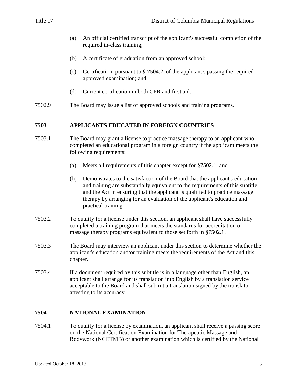- (a) An official certified transcript of the applicant's successful completion of the required in-class training;
- (b) A certificate of graduation from an approved school;
- (c) Certification, pursuant to § 7504.2, of the applicant's passing the required approved examination; and
- (d) Current certification in both CPR and first aid.
- 7502.9 The Board may issue a list of approved schools and training programs.

#### **7503 APPLICANTS EDUCATED IN FOREIGN COUNTRIES**

- 7503.1 The Board may grant a license to practice massage therapy to an applicant who completed an educational program in a foreign country if the applicant meets the following requirements:
	- (a) Meets all requirements of this chapter except for §7502.1; and
	- (b) Demonstrates to the satisfaction of the Board that the applicant's education and training are substantially equivalent to the requirements of this subtitle and the Act in ensuring that the applicant is qualified to practice massage therapy by arranging for an evaluation of the applicant's education and practical training.
- 7503.2 To qualify for a license under this section, an applicant shall have successfully completed a training program that meets the standards for accreditation of massage therapy programs equivalent to those set forth in §7502.1.
- 7503.3 The Board may interview an applicant under this section to determine whether the applicant's education and/or training meets the requirements of the Act and this chapter.
- 7503.4 If a document required by this subtitle is in a language other than English, an applicant shall arrange for its translation into English by a translation service acceptable to the Board and shall submit a translation signed by the translator attesting to its accuracy.

#### **7504 NATIONAL EXAMINATION**

7504.1 To qualify for a license by examination, an applicant shall receive a passing score on the National Certification Examination for Therapeutic Massage and Bodywork (NCETMB) or another examination which is certified by the National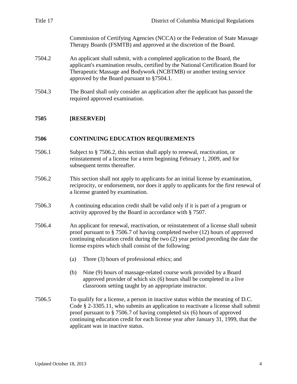| Title 17 | District of Columbia Municipal Regulations                                                                                                                                                                                                                                                 |
|----------|--------------------------------------------------------------------------------------------------------------------------------------------------------------------------------------------------------------------------------------------------------------------------------------------|
|          | Commission of Certifying Agencies (NCCA) or the Federation of State Massage<br>Therapy Boards (FSMTB) and approved at the discretion of the Board.                                                                                                                                         |
| 7504.2   | An applicant shall submit, with a completed application to the Board, the<br>applicant's examination results, certified by the National Certification Board for<br>Therapeutic Massage and Bodywork (NCBTMB) or another testing service<br>approved by the Board pursuant to $\S 7504.1$ . |
| 7504.3   | The Board shall only consider an application after the applicant has passed the<br>required approved examination.                                                                                                                                                                          |
| 7505     | [RESERVED]                                                                                                                                                                                                                                                                                 |

## **7506 CONTINUING EDUCATION REQUIREMENTS**

- 7506.1 Subject to § 7506.2, this section shall apply to renewal, reactivation, or reinstatement of a license for a term beginning February 1, 2009, and for subsequent terms thereafter.
- 7506.2 This section shall not apply to applicants for an initial license by examination, reciprocity, or endorsement, nor does it apply to applicants for the first renewal of a license granted by examination.
- 7506.3 A continuing education credit shall be valid only if it is part of a program or activity approved by the Board in accordance with § 7507.
- 7506.4 An applicant for renewal, reactivation, or reinstatement of a license shall submit proof pursuant to § 7506.7 of having completed twelve (12) hours of approved continuing education credit during the two (2) year period preceding the date the license expires which shall consist of the following:
	- (a) Three (3) hours of professional ethics; and
	- (b) Nine (9) hours of massage-related course work provided by a Board approved provider of which six (6) hours shall be completed in a live classroom setting taught by an appropriate instructor.
- 7506.5 To qualify for a license, a person in inactive status within the meaning of D.C. Code § 2-3305.11, who submits an application to reactivate a license shall submit proof pursuant to § 7506.7 of having completed six (6) hours of approved continuing education credit for each license year after January 31, 1999, that the applicant was in inactive status.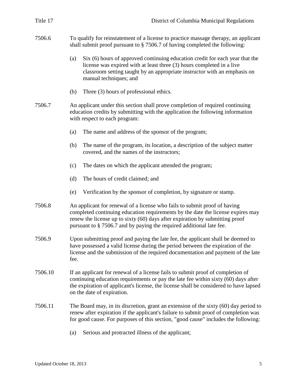| Title 17 | District of Columbia Municipal Regulations                                                                                                                                                                                                                                                                           |
|----------|----------------------------------------------------------------------------------------------------------------------------------------------------------------------------------------------------------------------------------------------------------------------------------------------------------------------|
| 7506.6   | To qualify for reinstatement of a license to practice massage therapy, an applicant<br>shall submit proof pursuant to $\S$ 7506.7 of having completed the following:                                                                                                                                                 |
|          | Six (6) hours of approved continuing education credit for each year that the<br>(a)<br>license was expired with at least three (3) hours completed in a live<br>classroom setting taught by an appropriate instructor with an emphasis on<br>manual techniques; and                                                  |
|          | Three (3) hours of professional ethics.<br>(b)                                                                                                                                                                                                                                                                       |
| 7506.7   | An applicant under this section shall prove completion of required continuing<br>education credits by submitting with the application the following information<br>with respect to each program:                                                                                                                     |
|          | (a)<br>The name and address of the sponsor of the program;                                                                                                                                                                                                                                                           |
|          | The name of the program, its location, a description of the subject matter<br>(b)<br>covered, and the names of the instructors;                                                                                                                                                                                      |
|          | (c)<br>The dates on which the applicant attended the program;                                                                                                                                                                                                                                                        |
|          | The hours of credit claimed; and<br>(d)                                                                                                                                                                                                                                                                              |
|          | Verification by the sponsor of completion, by signature or stamp.<br>(e)                                                                                                                                                                                                                                             |
| 7506.8   | An applicant for renewal of a license who fails to submit proof of having<br>completed continuing education requirements by the date the license expires may<br>renew the license up to sixty (60) days after expiration by submitting proof<br>pursuant to § 7506.7 and by paying the required additional late fee. |
| 7506.9   | Upon submitting proof and paying the late fee, the applicant shall be deemed to<br>have possessed a valid license during the period between the expiration of the<br>license and the submission of the required documentation and payment of the late<br>fee.                                                        |
| 7506.10  | If an applicant for renewal of a license fails to submit proof of completion of<br>continuing education requirements or pay the late fee within sixty (60) days after<br>the expiration of applicant's license, the license shall be considered to have lapsed<br>on the date of expiration.                         |
| 7506.11  | The Board may, in its discretion, grant an extension of the sixty (60) day period to<br>renew after expiration if the applicant's failure to submit proof of completion was<br>for good cause. For purposes of this section, "good cause" includes the following:                                                    |
|          |                                                                                                                                                                                                                                                                                                                      |

(a) Serious and protracted illness of the applicant;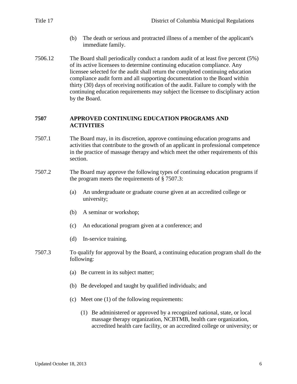- (b) The death or serious and protracted illness of a member of the applicant's immediate family.
- 7506.12 The Board shall periodically conduct a random audit of at least five percent (5%) of its active licensees to determine continuing education compliance. Any licensee selected for the audit shall return the completed continuing education compliance audit form and all supporting documentation to the Board within thirty (30) days of receiving notification of the audit. Failure to comply with the continuing education requirements may subject the licensee to disciplinary action by the Board.

#### **7507 APPROVED CONTINUING EDUCATION PROGRAMS AND ACTIVITIES**

- 7507.1 The Board may, in its discretion, approve continuing education programs and activities that contribute to the growth of an applicant in professional competence in the practice of massage therapy and which meet the other requirements of this section.
- 7507.2 The Board may approve the following types of continuing education programs if the program meets the requirements of § 7507.3:
	- (a) An undergraduate or graduate course given at an accredited college or university;
	- (b) A seminar or workshop;
	- (c) An educational program given at a conference; and
	- (d) In-service training.
- 7507.3 To qualify for approval by the Board, a continuing education program shall do the following:
	- (a) Be current in its subject matter;
	- (b) Be developed and taught by qualified individuals; and
	- (c) Meet one (1) of the following requirements:
		- (1) Be administered or approved by a recognized national, state, or local massage therapy organization, NCBTMB, health care organization, accredited health care facility, or an accredited college or university; or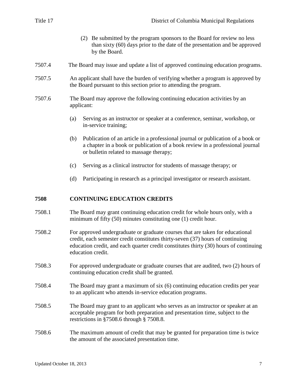| Title 17 | District of Columbia Municipal Regulations                                                                                                                              |
|----------|-------------------------------------------------------------------------------------------------------------------------------------------------------------------------|
|          | (2) Be submitted by the program sponsors to the Board for review no less<br>than sixty (60) days prior to the date of the presentation and be approved<br>by the Board. |
| 7507.4   | The Board may issue and update a list of approved continuing education programs.                                                                                        |
| 7507.5   | An applicant shall have the burden of verifying whether a program is approved by<br>the Board pursuant to this section prior to attending the program.                  |
| 7507.6   | The Board may approve the following continuing education activities by an<br>applicant:                                                                                 |
|          | Serving as an instructor or speaker at a conference, seminar, workshop, or<br>(a)                                                                                       |

- (a) Serving as an instructor or speaker at a conference, seem. in-service training;
- (b) Publication of an article in a professional journal or publication of a book or a chapter in a book or publication of a book review in a professional journal or bulletin related to massage therapy;
- (c) Serving as a clinical instructor for students of massage therapy; or
- (d) Participating in research as a principal investigator or research assistant.

#### **7508 CONTINUING EDUCATION CREDITS**

- 7508.1 The Board may grant continuing education credit for whole hours only, with a minimum of fifty (50) minutes constituting one (1) credit hour.
- 7508.2 For approved undergraduate or graduate courses that are taken for educational credit, each semester credit constitutes thirty-seven (37) hours of continuing education credit, and each quarter credit constitutes thirty (30) hours of continuing education credit.
- 7508.3 For approved undergraduate or graduate courses that are audited, two (2) hours of continuing education credit shall be granted.
- 7508.4 The Board may grant a maximum of six (6) continuing education credits per year to an applicant who attends in-service education programs.
- 7508.5 The Board may grant to an applicant who serves as an instructor or speaker at an acceptable program for both preparation and presentation time, subject to the restrictions in §7508.6 through § 7508.8.
- 7508.6 The maximum amount of credit that may be granted for preparation time is twice the amount of the associated presentation time.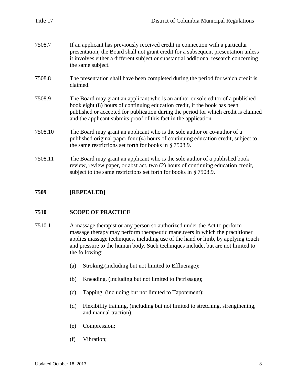| Title 17 | District of Columbia Municipal Regulations                                                                                                                                                                                                                                                                              |
|----------|-------------------------------------------------------------------------------------------------------------------------------------------------------------------------------------------------------------------------------------------------------------------------------------------------------------------------|
| 7508.7   | If an applicant has previously received credit in connection with a particular<br>presentation, the Board shall not grant credit for a subsequent presentation unless<br>it involves either a different subject or substantial additional research concerning<br>the same subject.                                      |
| 7508.8   | The presentation shall have been completed during the period for which credit is<br>claimed.                                                                                                                                                                                                                            |
| 7508.9   | The Board may grant an applicant who is an author or sole editor of a published<br>book eight (8) hours of continuing education credit, if the book has been<br>published or accepted for publication during the period for which credit is claimed<br>and the applicant submits proof of this fact in the application. |
| 7508.10  | The Board may grant an applicant who is the sole author or co-author of a<br>published original paper four (4) hours of continuing education credit, subject to<br>the same restrictions set forth for books in $\S$ 7508.9.                                                                                            |
| 7508.11  | The Board may grant an applicant who is the sole author of a published book<br>review, review paper, or abstract, two (2) hours of continuing education credit,<br>subject to the same restrictions set forth for books in § 7508.9.                                                                                    |
|          |                                                                                                                                                                                                                                                                                                                         |

### **7509 [REPEALED]**

#### **7510 SCOPE OF PRACTICE**

- 7510.1 A massage therapist or any person so authorized under the Act to perform massage therapy may perform therapeutic maneuvers in which the practitioner applies massage techniques, including use of the hand or limb, by applying touch and pressure to the human body. Such techniques include, but are not limited to the following:
	- (a) Stroking,(including but not limited to Effluerage);
	- (b) Kneading, (including but not limited to Petrissage);
	- (c) Tapping, (including but not limited to Tapotement);
	- (d) Flexibility training, (including but not limited to stretching, strengthening, and manual traction);
	- (e) Compression;
	- (f) Vibration;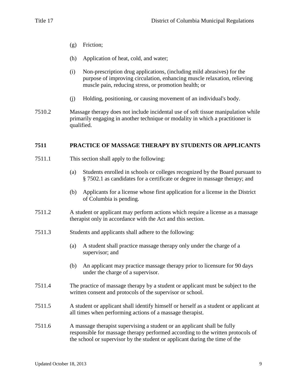- (g) Friction;
- (h) Application of heat, cold, and water;
- (i) Non-prescription drug applications, (including mild abrasives) for the purpose of improving circulation, enhancing muscle relaxation, relieving muscle pain, reducing stress, or promotion health; or
- (j) Holding, positioning, or causing movement of an individual's body.
- 7510.2 Massage therapy does not include incidental use of soft tissue manipulation while primarily engaging in another technique or modality in which a practitioner is qualified.

## **7511 PRACTICE OF MASSAGE THERAPY BY STUDENTS OR APPLICANTS**

- 7511.1 This section shall apply to the following:
	- (a) Students enrolled in schools or colleges recognized by the Board pursuant to § 7502.1 as candidates for a certificate or degree in massage therapy; and
	- (b) Applicants for a license whose first application for a license in the District of Columbia is pending.
- 7511.2 A student or applicant may perform actions which require a license as a massage therapist only in accordance with the Act and this section.
- 7511.3 Students and applicants shall adhere to the following:
	- (a) A student shall practice massage therapy only under the charge of a supervisor; and
	- (b) An applicant may practice massage therapy prior to licensure for 90 days under the charge of a supervisor.
- 7511.4 The practice of massage therapy by a student or applicant must be subject to the written consent and protocols of the supervisor or school.
- 7511.5 A student or applicant shall identify himself or herself as a student or applicant at all times when performing actions of a massage therapist.
- 7511.6 A massage therapist supervising a student or an applicant shall be fully responsible for massage therapy performed according to the written protocols of the school or supervisor by the student or applicant during the time of the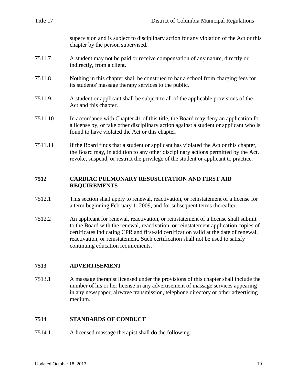| Title 17 | District of Columbia Municipal Regulations                                                                                                                                                                                                                        |
|----------|-------------------------------------------------------------------------------------------------------------------------------------------------------------------------------------------------------------------------------------------------------------------|
|          | supervision and is subject to disciplinary action for any violation of the Act or this<br>chapter by the person supervised.                                                                                                                                       |
| 7511.7   | A student may not be paid or receive compensation of any nature, directly or<br>indirectly, from a client.                                                                                                                                                        |
| 7511.8   | Nothing in this chapter shall be construed to bar a school from charging fees for<br>its students' massage therapy services to the public.                                                                                                                        |
| 7511.9   | A student or applicant shall be subject to all of the applicable provisions of the<br>Act and this chapter.                                                                                                                                                       |
| 7511.10  | In accordance with Chapter 41 of this title, the Board may deny an application for<br>a license by, or take other disciplinary action against a student or applicant who is<br>found to have violated the Act or this chapter.                                    |
| 7511.11  | If the Board finds that a student or applicant has violated the Act or this chapter,<br>the Board may, in addition to any other disciplinary actions permitted by the Act,<br>revoke, suspend, or restrict the privilege of the student or applicant to practice. |
| 7512     | <b>CARDIAC PULMONARY RESUSCITATION AND FIRST AID</b><br><b>REQUIREMENTS</b>                                                                                                                                                                                       |
| 75121    | This section shall apply to repewal reactivation or reinstatement of a license for                                                                                                                                                                                |

- 7512.1 This section shall apply to renewal, reactivation, or reinstatement of a license for a term beginning February 1, 2009, and for subsequent terms thereafter.
- 7512.2 An applicant for renewal, reactivation, or reinstatement of a license shall submit to the Board with the renewal, reactivation, or reinstatement application copies of certificates indicating CPR and first-aid certification valid at the date of renewal, reactivation, or reinstatement. Such certification shall not be used to satisfy continuing education requirements.

# **7513 ADVERTISEMENT**

7513.1 A massage therapist licensed under the provisions of this chapter shall include the number of his or her license in any advertisement of massage services appearing in any newspaper, airwave transmission, telephone directory or other advertising medium.

# **7514 STANDARDS OF CONDUCT**

7514.1 A licensed massage therapist shall do the following: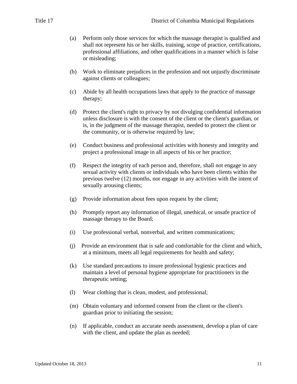- (a) Perform only those services for which the massage therapist is qualified and shall not represent his or her skills, training, scope of practice, certifications, professional affiliations, and other qualifications in a manner which is false or misleading;
- (b) Work to eliminate prejudices in the profession and not unjustly discriminate against clients or colleagues;
- (c) Abide by all health occupations laws that apply to the practice of massage therapy;
- (d) Protect the client's right to privacy by not divulging confidential information unless disclosure is with the consent of the client or the client's guardian, or is, in the judgment of the massage therapist, needed to protect the client or the community, or is otherwise required by law;
- (e) Conduct business and professional activities with honesty and integrity and project a professional image in all aspects of his or her practice;
- (f) Respect the integrity of each person and, therefore, shall not engage in any sexual activity with clients or individuals who have been clients within the previous twelve (12) months, nor engage in any activities with the intent of sexually arousing clients;
- (g) Provide information about fees upon request by the client;
- (h) Promptly report any information of illegal, unethical, or unsafe practice of massage therapy to the Board;
- (i) Use professional verbal, nonverbal, and written communications;
- (j) Provide an environment that is safe and comfortable for the client and which, at a minimum, meets all legal requirements for health and safety;
- (k) Use standard precautions to insure professional hygienic practices and maintain a level of personal hygiene appropriate for practitioners in the therapeutic setting;
- (l) Wear clothing that is clean, modest, and professional;
- (m) Obtain voluntary and informed consent from the client or the client's guardian prior to initiating the session;
- (n) If applicable, conduct an accurate needs assessment, develop a plan of care with the client, and update the plan as needed;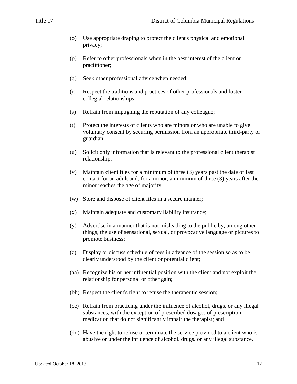- (o) Use appropriate draping to protect the client's physical and emotional privacy;
- (p) Refer to other professionals when in the best interest of the client or practitioner;
- (q) Seek other professional advice when needed;
- (r) Respect the traditions and practices of other professionals and foster collegial relationships;
- (s) Refrain from impugning the reputation of any colleague;
- (t) Protect the interests of clients who are minors or who are unable to give voluntary consent by securing permission from an appropriate third-party or guardian;
- (u) Solicit only information that is relevant to the professional client therapist relationship;
- (v) Maintain client files for a minimum of three (3) years past the date of last contact for an adult and, for a minor, a minimum of three (3) years after the minor reaches the age of majority;
- (w) Store and dispose of client files in a secure manner;
- (x) Maintain adequate and customary liability insurance;
- (y) Advertise in a manner that is not misleading to the public by, among other things, the use of sensational, sexual, or provocative language or pictures to promote business;
- (z) Display or discuss schedule of fees in advance of the session so as to be clearly understood by the client or potential client;
- (aa) Recognize his or her influential position with the client and not exploit the relationship for personal or other gain;
- (bb) Respect the client's right to refuse the therapeutic session;
- (cc) Refrain from practicing under the influence of alcohol, drugs, or any illegal substances, with the exception of prescribed dosages of prescription medication that do not significantly impair the therapist; and
- (dd) Have the right to refuse or terminate the service provided to a client who is abusive or under the influence of alcohol, drugs, or any illegal substance.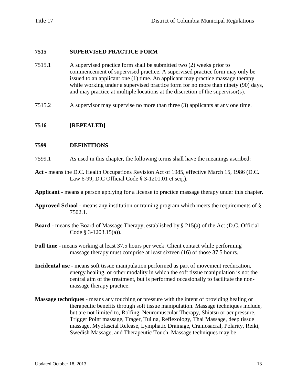#### **7515 SUPERVISED PRACTICE FORM**

- 7515.1 A supervised practice form shall be submitted two (2) weeks prior to commencement of supervised practice. A supervised practice form may only be issued to an applicant one (1) time. An applicant may practice massage therapy while working under a supervised practice form for no more than ninety (90) days, and may practice at multiple locations at the discretion of the supervisor(s).
- 7515.2 A supervisor may supervise no more than three (3) applicants at any one time.

#### **7516 [REPEALED]**

#### **7599 DEFINITIONS**

- 7599.1 As used in this chapter, the following terms shall have the meanings ascribed:
- **Act** means the D.C. Health Occupations Revision Act of 1985, effective March 15, 1986 (D.C. Law 6-99; D.C Official Code § 3-1201.01 et seq.).
- **Applicant** means a person applying for a license to practice massage therapy under this chapter.
- **Approved School** means any institution or training program which meets the requirements of § 7502.1.
- **Board** means the Board of Massage Therapy, established by § 215(a) of the Act (D.C. Official Code § 3-1203.15(a)).
- **Full time** means working at least 37.5 hours per week. Client contact while performing massage therapy must comprise at least sixteen (16) of those 37.5 hours.
- **Incidental use** means soft tissue manipulation performed as part of movement reeducation, energy healing, or other modality in which the soft tissue manipulation is not the central aim of the treatment, but is performed occasionally to facilitate the nonmassage therapy practice.
- **Massage techniques** means any touching or pressure with the intent of providing healing or therapeutic benefits through soft tissue manipulation. Massage techniques include, but are not limited to, Rolfing, Neuromuscular Therapy, Shiatsu or acupressure, Trigger Point massage, Trager, Tui na, Reflexology, Thai Massage, deep tissue massage, Myofascial Release, Lymphatic Drainage, Craniosacral, Polarity, Reiki, Swedish Massage, and Therapeutic Touch. Massage techniques may be